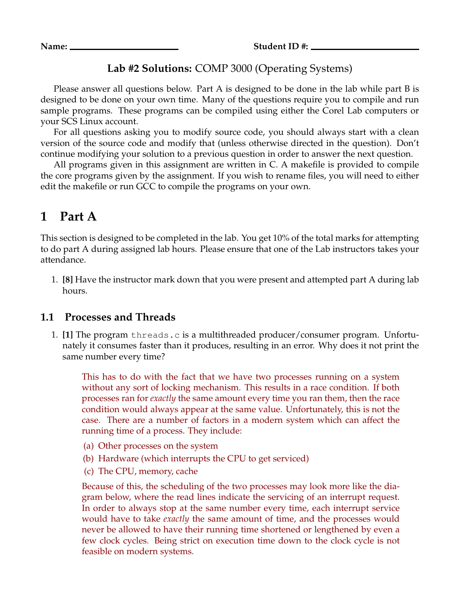Name: Student ID #:

# Lab #2 Solutions: COMP 3000 (Operating Systems)

Please answer all questions below. Part A is designed to be done in the lab while part B is designed to be done on your own time. Many of the questions require you to compile and run sample programs. These programs can be compiled using either the Corel Lab computers or your SCS Linux account.

For all questions asking you to modify source code, you should always start with a clean version of the source code and modify that (unless otherwise directed in the question). Don't continue modifying your solution to a previous question in order to answer the next question.

All programs given in this assignment are written in C. A makefile is provided to compile the core programs given by the assignment. If you wish to rename files, you will need to either edit the makefile or run GCC to compile the programs on your own.

# 1 Part A

This section is designed to be completed in the lab. You get 10% of the total marks for attempting to do part A during assigned lab hours. Please ensure that one of the Lab instructors takes your attendance.

1. [8] Have the instructor mark down that you were present and attempted part A during lab hours.

# 1.1 Processes and Threads

1. [1] The program threads.c is a multithreaded producer/consumer program. Unfortunately it consumes faster than it produces, resulting in an error. Why does it not print the same number every time?

This has to do with the fact that we have two processes running on a system without any sort of locking mechanism. This results in a race condition. If both processes ran for exactly the same amount every time you ran them, then the race condition would always appear at the same value. Unfortunately, this is not the case. There are a number of factors in a modern system which can affect the running time of a process. They include:

- (a) Other processes on the system
- (b) Hardware (which interrupts the CPU to get serviced)
- (c) The CPU, memory, cache

Because of this, the scheduling of the two processes may look more like the diagram below, where the read lines indicate the servicing of an interrupt request. In order to always stop at the same number every time, each interrupt service would have to take *exactly* the same amount of time, and the processes would never be allowed to have their running time shortened or lengthened by even a few clock cycles. Being strict on execution time down to the clock cycle is not feasible on modern systems.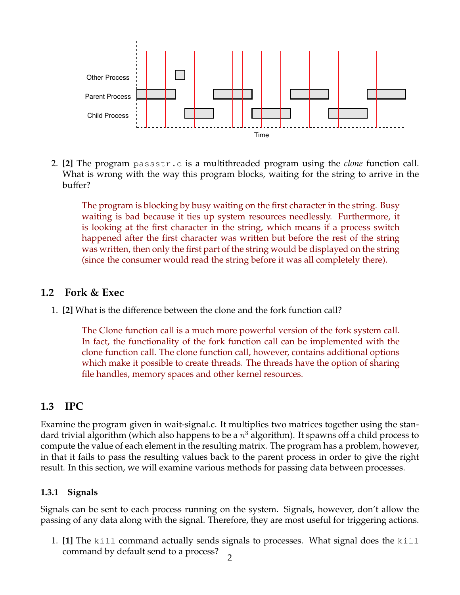

2. [2] The program passstr.c is a multithreaded program using the *clone* function call. What is wrong with the way this program blocks, waiting for the string to arrive in the buffer?

The program is blocking by busy waiting on the first character in the string. Busy waiting is bad because it ties up system resources needlessly. Furthermore, it is looking at the first character in the string, which means if a process switch happened after the first character was written but before the rest of the string was written, then only the first part of the string would be displayed on the string (since the consumer would read the string before it was all completely there).

## 1.2 Fork & Exec

1. [2] What is the difference between the clone and the fork function call?

The Clone function call is a much more powerful version of the fork system call. In fact, the functionality of the fork function call can be implemented with the clone function call. The clone function call, however, contains additional options which make it possible to create threads. The threads have the option of sharing file handles, memory spaces and other kernel resources.

# 1.3 IPC

Examine the program given in wait-signal.c. It multiplies two matrices together using the standard trivial algorithm (which also happens to be a  $n^3$  algorithm). It spawns off a child process to compute the value of each element in the resulting matrix. The program has a problem, however, in that it fails to pass the resulting values back to the parent process in order to give the right result. In this section, we will examine various methods for passing data between processes.

### 1.3.1 Signals

Signals can be sent to each process running on the system. Signals, however, don't allow the passing of any data along with the signal. Therefore, they are most useful for triggering actions.

1. [1] The kill command actually sends signals to processes. What signal does the kill command by default send to a process?  $\overline{2}$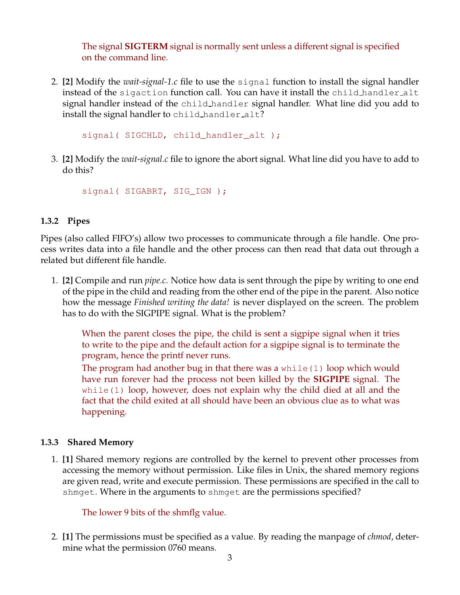The signal SIGTERM signal is normally sent unless a different signal is specified on the command line.

2. [2] Modify the *wait-signal-1.c* file to use the signal function to install the signal handler instead of the sigaction function call. You can have it install the child handler alt signal handler instead of the child handler signal handler. What line did you add to install the signal handler to child handler alt?

signal( SIGCHLD, child\_handler\_alt );

3. [2] Modify the wait-signal.c file to ignore the abort signal. What line did you have to add to do this?

signal( SIGABRT, SIG\_IGN );

### 1.3.2 Pipes

Pipes (also called FIFO's) allow two processes to communicate through a file handle. One process writes data into a file handle and the other process can then read that data out through a related but different file handle.

1. [2] Compile and run *pipe.c*. Notice how data is sent through the pipe by writing to one end of the pipe in the child and reading from the other end of the pipe in the parent. Also notice how the message *Finished writing the data!* is never displayed on the screen. The problem has to do with the SIGPIPE signal. What is the problem?

When the parent closes the pipe, the child is sent a sigpipe signal when it tries to write to the pipe and the default action for a sigpipe signal is to terminate the program, hence the printf never runs.

The program had another bug in that there was a  $\text{while}(1)$  loop which would have run forever had the process not been killed by the SIGPIPE signal. The while(1) loop, however, does not explain why the child died at all and the fact that the child exited at all should have been an obvious clue as to what was happening.

### 1.3.3 Shared Memory

1. [1] Shared memory regions are controlled by the kernel to prevent other processes from accessing the memory without permission. Like files in Unix, the shared memory regions are given read, write and execute permission. These permissions are specified in the call to shmget. Where in the arguments to shmget are the permissions specified?

The lower 9 bits of the shmflg value.

2. [1] The permissions must be specified as a value. By reading the manpage of *chmod*, determine what the permission 0760 means.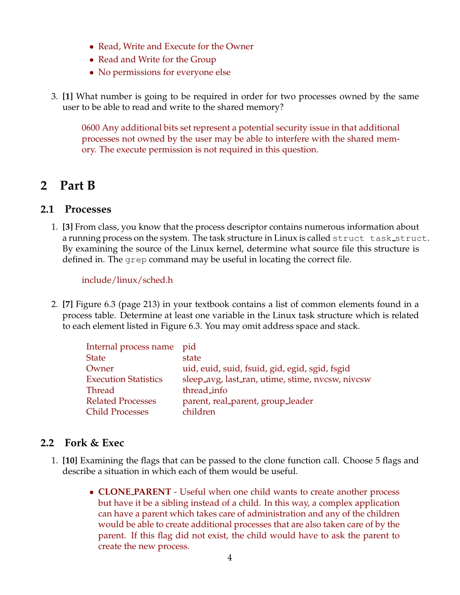- Read, Write and Execute for the Owner
- Read and Write for the Group
- No permissions for everyone else
- 3. [1] What number is going to be required in order for two processes owned by the same user to be able to read and write to the shared memory?

0600 Any additional bits set represent a potential security issue in that additional processes not owned by the user may be able to interfere with the shared memory. The execute permission is not required in this question.

# 2 Part B

## 2.1 Processes

1. [3] From class, you know that the process descriptor contains numerous information about a running process on the system. The task structure in Linux is called struct task\_struct. By examining the source of the Linux kernel, determine what source file this structure is defined in. The grep command may be useful in locating the correct file.

include/linux/sched.h

2. [7] Figure 6.3 (page 213) in your textbook contains a list of common elements found in a process table. Determine at least one variable in the Linux task structure which is related to each element listed in Figure 6.3. You may omit address space and stack.

| Internal process name       | pid                                              |
|-----------------------------|--------------------------------------------------|
| <b>State</b>                | state                                            |
| Owner                       | uid, euid, suid, fsuid, gid, egid, sgid, fsgid   |
| <b>Execution Statistics</b> | sleep_avg, last_ran, utime, stime, nvcsw, nivcsw |
| Thread                      | thread_info                                      |
| <b>Related Processes</b>    | parent, real_parent, group_leader                |
| <b>Child Processes</b>      | children                                         |

## 2.2 Fork & Exec

- 1. [10] Examining the flags that can be passed to the clone function call. Choose 5 flags and describe a situation in which each of them would be useful.
	- CLONE PARENT Useful when one child wants to create another process but have it be a sibling instead of a child. In this way, a complex application can have a parent which takes care of administration and any of the children would be able to create additional processes that are also taken care of by the parent. If this flag did not exist, the child would have to ask the parent to create the new process.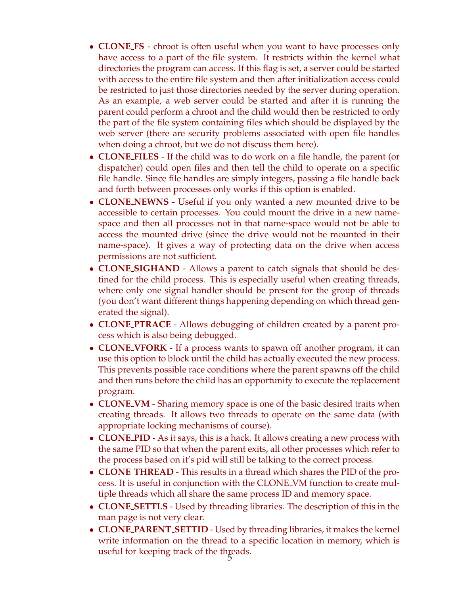- **CLONE FS** chroot is often useful when you want to have processes only have access to a part of the file system. It restricts within the kernel what directories the program can access. If this flag is set, a server could be started with access to the entire file system and then after initialization access could be restricted to just those directories needed by the server during operation. As an example, a web server could be started and after it is running the parent could perform a chroot and the child would then be restricted to only the part of the file system containing files which should be displayed by the web server (there are security problems associated with open file handles when doing a chroot, but we do not discuss them here).
- **CLONE\_FILES** If the child was to do work on a file handle, the parent (or dispatcher) could open files and then tell the child to operate on a specific file handle. Since file handles are simply integers, passing a file handle back and forth between processes only works if this option is enabled.
- CLONE NEWNS Useful if you only wanted a new mounted drive to be accessible to certain processes. You could mount the drive in a new namespace and then all processes not in that name-space would not be able to access the mounted drive (since the drive would not be mounted in their name-space). It gives a way of protecting data on the drive when access permissions are not sufficient.
- **CLONE SIGHAND** Allows a parent to catch signals that should be destined for the child process. This is especially useful when creating threads, where only one signal handler should be present for the group of threads (you don't want different things happening depending on which thread generated the signal).
- **CLONE\_PTRACE** Allows debugging of children created by a parent process which is also being debugged.
- **CLONE\_VFORK** If a process wants to spawn off another program, it can use this option to block until the child has actually executed the new process. This prevents possible race conditions where the parent spawns off the child and then runs before the child has an opportunity to execute the replacement program.
- CLONE VM Sharing memory space is one of the basic desired traits when creating threads. It allows two threads to operate on the same data (with appropriate locking mechanisms of course).
- **CLONE\_PID** As it says, this is a hack. It allows creating a new process with the same PID so that when the parent exits, all other processes which refer to the process based on it's pid will still be talking to the correct process.
- **CLONE\_THREAD** This results in a thread which shares the PID of the process. It is useful in conjunction with the CLONE VM function to create multiple threads which all share the same process ID and memory space.
- CLONE\_SETTLS Used by threading libraries. The description of this in the man page is not very clear.
- CLONE PARENT SETTID Used by threading libraries, it makes the kernel write information on the thread to a specific location in memory, which is useful for keeping track of the threads.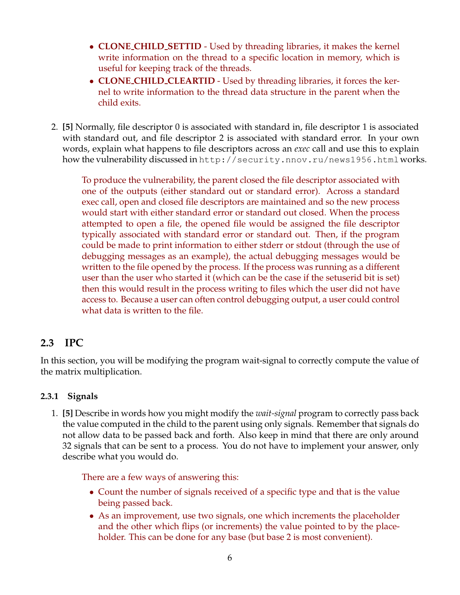- **CLONE\_CHILD\_SETTID** Used by threading libraries, it makes the kernel write information on the thread to a specific location in memory, which is useful for keeping track of the threads.
- CLONE CHILD CLEARTID Used by threading libraries, it forces the kernel to write information to the thread data structure in the parent when the child exits.
- 2. [5] Normally, file descriptor 0 is associated with standard in, file descriptor 1 is associated with standard out, and file descriptor 2 is associated with standard error. In your own words, explain what happens to file descriptors across an exec call and use this to explain how the vulnerability discussed in http://security.nnov.ru/news1956.htmlworks.

To produce the vulnerability, the parent closed the file descriptor associated with one of the outputs (either standard out or standard error). Across a standard exec call, open and closed file descriptors are maintained and so the new process would start with either standard error or standard out closed. When the process attempted to open a file, the opened file would be assigned the file descriptor typically associated with standard error or standard out. Then, if the program could be made to print information to either stderr or stdout (through the use of debugging messages as an example), the actual debugging messages would be written to the file opened by the process. If the process was running as a different user than the user who started it (which can be the case if the setuserid bit is set) then this would result in the process writing to files which the user did not have access to. Because a user can often control debugging output, a user could control what data is written to the file.

# 2.3 IPC

In this section, you will be modifying the program wait-signal to correctly compute the value of the matrix multiplication.

### 2.3.1 Signals

1. [5] Describe in words how you might modify the wait-signal program to correctly pass back the value computed in the child to the parent using only signals. Remember that signals do not allow data to be passed back and forth. Also keep in mind that there are only around 32 signals that can be sent to a process. You do not have to implement your answer, only describe what you would do.

There are a few ways of answering this:

- Count the number of signals received of a specific type and that is the value being passed back.
- As an improvement, use two signals, one which increments the placeholder and the other which flips (or increments) the value pointed to by the placeholder. This can be done for any base (but base 2 is most convenient).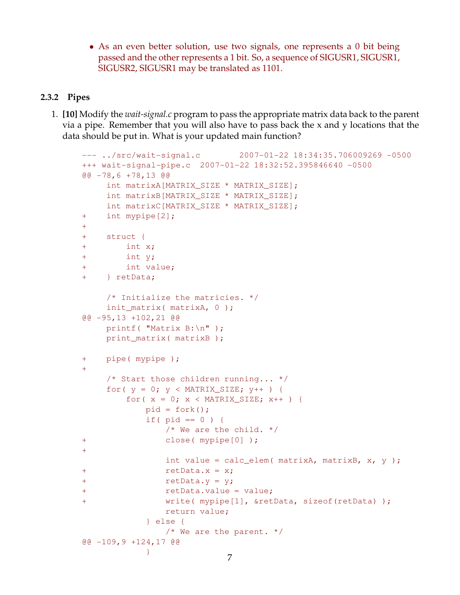• As an even better solution, use two signals, one represents a 0 bit being passed and the other represents a 1 bit. So, a sequence of SIGUSR1, SIGUSR1, SIGUSR2, SIGUSR1 may be translated as 1101.

#### 2.3.2 Pipes

1. [10] Modify the *wait-signal.c* program to pass the appropriate matrix data back to the parent via a pipe. Remember that you will also have to pass back the x and y locations that the data should be put in. What is your updated main function?

```
--- ../src/wait-signal.c 2007-01-22 18:34:35.706009269 -0500
+++ wait-signal-pipe.c 2007-01-22 18:32:52.395846640 -0500
@@ -78,6 +78,13 @@
    int matrixA[MATRIX_SIZE * MATRIX_SIZE];
    int matrixB[MATRIX_SIZE * MATRIX_SIZE];
    int matrixC[MATRIX_SIZE * MATRIX_SIZE];
+ int mypipe[2];
++ struct {
+ int x;
+ int y;
+ int value;
+ } retData;
    /* Initialize the matricies. */
    init_matrix( matrixA, 0 );
@@ -95,13 +102,21 @@
    printf( "Matrix B:\n" );
    print_matrix( matrixB );
+ pipe( mypipe );
+
    /* Start those children running... */
    for(y = 0; y < MATRIX_SIZE; y++) {
        for(x = 0; x < \text{MATRIX_SIZE}; x++) {
           pid = fork();
           if ( pid == 0 ) {
               /* We are the child. */
+ close( mypipe[0] );
+
               int value = calc_elem( matrixA, matrixB, x, y );
+ retData.x = x;
+ retData.y = y;
+ retData.value = value;
+ write( mypipe[1], &retData, sizeof(retData) );
               return value;
           } else {
               /* We are the parent. */
@@ -109,9 +124,17 @@
           }
```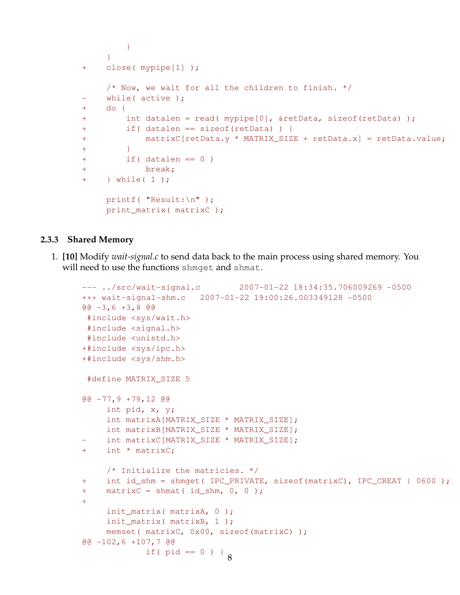```
}
    }
+ close( mypipe[1] );
    /* Now, we wait for all the children to finish. */
- while( active );
+ do {
+ int datalen = read( mypipe[0], &retData, sizeof(retData) );
+ if( datalen == sizeof(retData) ) {
+ matrixC[retData.y * MATRIX_SIZE + retData.x] = retData.value;
+ }
+ if( datalen == 0 )
+ break;
+ } while( 1 );
    printf( "Result:\n" );
    print_matrix( matrixC );
```
#### 2.3.3 Shared Memory

1. [10] Modify wait-signal.c to send data back to the main process using shared memory. You will need to use the functions shmot and shmat.

```
--- ../src/wait-signal.c 2007-01-22 18:34:35.706009269 -0500
+++ wait-signal-shm.c 2007-01-22 19:00:26.003349128 -0500
@@ -3,6 +3,8 @@
 #include <sys/wait.h>
 #include <signal.h>
#include <unistd.h>
+#include <sys/ipc.h>
+#include <sys/shm.h>
 #define MATRIX_SIZE 5
@@ -77,9 +79,12 @@
    int pid, x, y;
    int matrixA[MATRIX_SIZE * MATRIX_SIZE];
    int matrixB[MATRIX_SIZE * MATRIX_SIZE];
    int matrixC[MATRIX_SIZE * MATRIX_SIZE];
+ int * matrixC;
    /* Initialize the matricies. */
+ int id_shm = shmget( IPC_PRIVATE, sizeof(matrixC), IPC_CREAT | 0600 );
+ matrixC = shmat( id_shm, 0, 0 );
+
    init_matrix( matrixA, 0 );
     init_matrix( matrixB, 1 );
    memset( matrixC, 0x00, sizeof(matrixC) );
@@ -102,6 +107,7 @@
            if( pid == 0 ) { 8
```